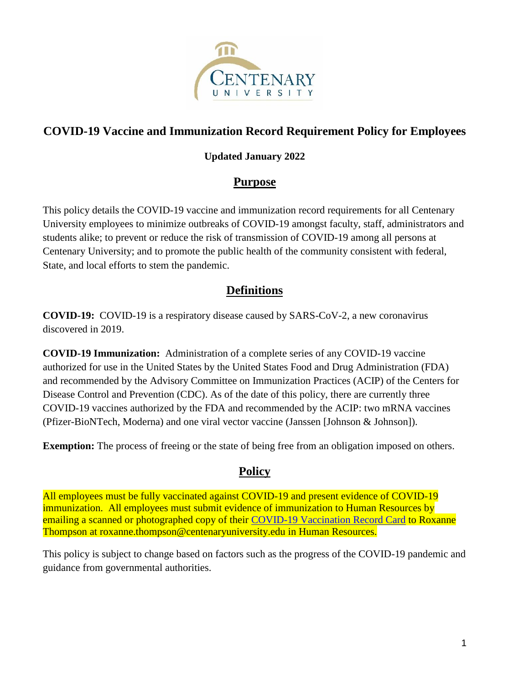

# **COVID-19 Vaccine and Immunization Record Requirement Policy for Employees**

## **Updated January 2022**

# **Purpose**

This policy details the COVID-19 vaccine and immunization record requirements for all Centenary University employees to minimize outbreaks of COVID-19 amongst faculty, staff, administrators and students alike; to prevent or reduce the risk of transmission of COVID-19 among all persons at Centenary University; and to promote the public health of the community consistent with federal, State, and local efforts to stem the pandemic.

# **Definitions**

**COVID-19:** COVID-19 is a respiratory disease caused by SARS-CoV-2, a new coronavirus discovered in 2019.

**COVID-19 Immunization:** Administration of a complete series of any COVID-19 vaccine authorized for use in the United States by the United States Food and Drug Administration (FDA) and recommended by the Advisory Committee on Immunization Practices (ACIP) of the Centers for Disease Control and Prevention (CDC). As of the date of this policy, there are currently three COVID-19 vaccines authorized by the FDA and recommended by the ACIP: two mRNA vaccines (Pfizer-BioNTech, Moderna) and one viral vector vaccine (Janssen [Johnson & Johnson]).

**Exemption:** The process of freeing or the state of being free from an obligation imposed on others.

# **Policy**

All employees must be fully vaccinated against COVID-19 and present evidence of COVID-19 immunization. All employees must submit evidence of immunization to Human Resources by emailing a scanned or photographed copy of their [COVID-19 Vaccination Record Card](https://www.centenaryuniversity.edu/wp-content/uploads/2021/07/Sample-COVID-19-Vaccination-Record-Card.jpg) to Roxanne Thompson at [roxanne.thompson@centenaryuniversity.edu](mailto:roxanne.thompson@centenaryuniversity.edu) in Human Resources.

This policy is subject to change based on factors such as the progress of the COVID-19 pandemic and guidance from governmental authorities.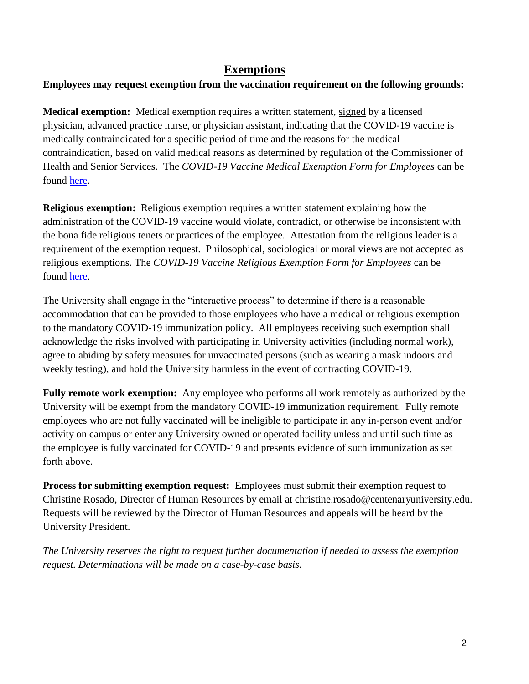## **Exemptions**

#### **Employees may request exemption from the vaccination requirement on the following grounds:**

**Medical exemption:** Medical exemption requires a written statement, signed by a licensed physician, advanced practice nurse, or physician assistant, indicating that the COVID-19 vaccine is medically contraindicated for a specific period of time and the reasons for the medical contraindication, based on valid medical reasons as determined by regulation of the Commissioner of Health and Senior Services. The *COVID-19 Vaccine Medical Exemption Form for Employees* can be found [here.](https://www.centenaryuniversity.edu/human-resources/forms/)

**Religious exemption:** Religious exemption requires a written statement explaining how the administration of the COVID-19 vaccine would violate, contradict, or otherwise be inconsistent with the bona fide religious tenets or practices of the employee. Attestation from the religious leader is a requirement of the exemption request. Philosophical, sociological or moral views are not accepted as religious exemptions. The *COVID-19 Vaccine Religious Exemption Form for Employees* can be found [here.](https://www.centenaryuniversity.edu/human-resources/forms/)

The University shall engage in the "interactive process" to determine if there is a reasonable accommodation that can be provided to those employees who have a medical or religious exemption to the mandatory COVID-19 immunization policy. All employees receiving such exemption shall acknowledge the risks involved with participating in University activities (including normal work), agree to abiding by safety measures for unvaccinated persons (such as wearing a mask indoors and weekly testing), and hold the University harmless in the event of contracting COVID-19.

**Fully remote work exemption:** Any employee who performs all work remotely as authorized by the University will be exempt from the mandatory COVID-19 immunization requirement. Fully remote employees who are not fully vaccinated will be ineligible to participate in any in-person event and/or activity on campus or enter any University owned or operated facility unless and until such time as the employee is fully vaccinated for COVID-19 and presents evidence of such immunization as set forth above.

**Process for submitting exemption request:** Employees must submit their exemption request to Christine Rosado, Director of Human Resources by email at christine.rosado@centenaryuniversity.edu. Requests will be reviewed by the Director of Human Resources and appeals will be heard by the University President.

*The University reserves the right to request further documentation if needed to assess the exemption request. Determinations will be made on a case-by-case basis.*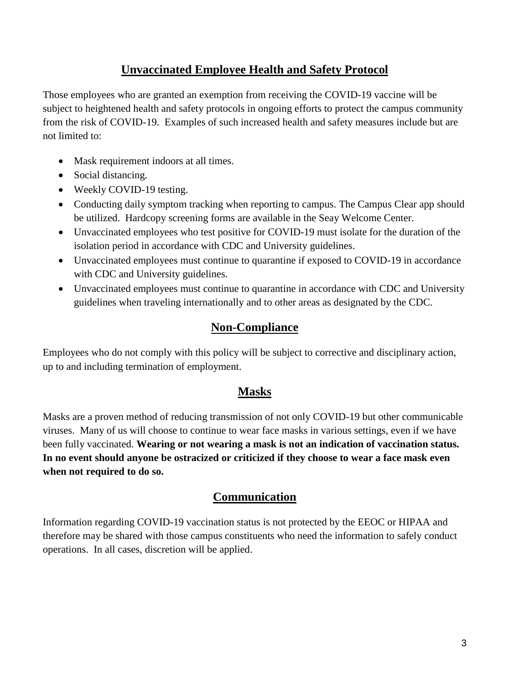## **Unvaccinated Employee Health and Safety Protocol**

Those employees who are granted an exemption from receiving the COVID-19 vaccine will be subject to heightened health and safety protocols in ongoing efforts to protect the campus community from the risk of COVID-19. Examples of such increased health and safety measures include but are not limited to:

- Mask requirement indoors at all times.
- Social distancing.
- Weekly COVID-19 testing.
- Conducting daily symptom tracking when reporting to campus. The Campus Clear app should be utilized. Hardcopy screening forms are available in the Seay Welcome Center.
- Unvaccinated employees who test positive for COVID-19 must isolate for the duration of the isolation period in accordance with CDC and University guidelines.
- Unvaccinated employees must continue to quarantine if exposed to COVID-19 in accordance with CDC and University guidelines.
- Unvaccinated employees must continue to quarantine in accordance with CDC and University guidelines when traveling internationally and to other areas as designated by the CDC.

# **Non-Compliance**

Employees who do not comply with this policy will be subject to corrective and disciplinary action, up to and including termination of employment.

## **Masks**

Masks are a proven method of reducing transmission of not only COVID-19 but other communicable viruses. Many of us will choose to continue to wear face masks in various settings, even if we have been fully vaccinated. **Wearing or not wearing a mask is not an indication of vaccination status. In no event should anyone be ostracized or criticized if they choose to wear a face mask even when not required to do so.**

## **Communication**

Information regarding COVID-19 vaccination status is not protected by the EEOC or HIPAA and therefore may be shared with those campus constituents who need the information to safely conduct operations. In all cases, discretion will be applied.